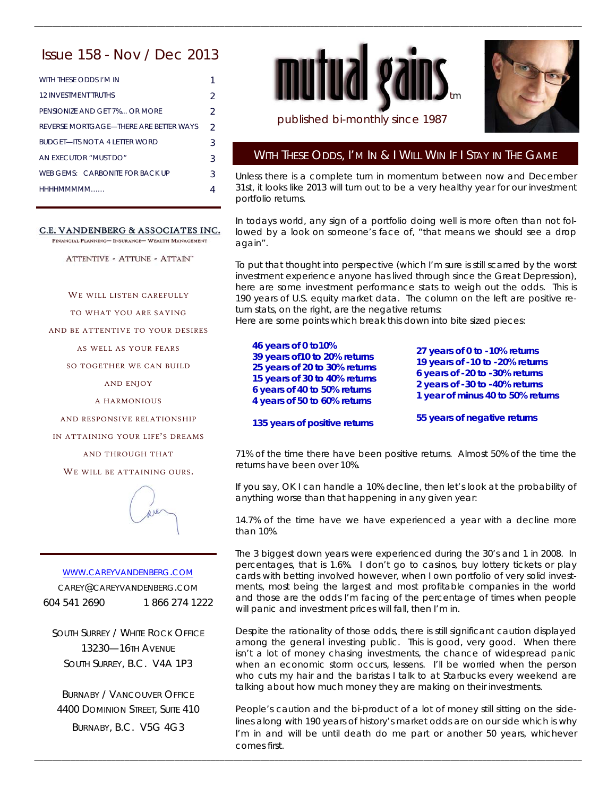# Issue 158 - Nov / Dec 2013

| WITH THESE ODDS I'M IN                 |               |
|----------------------------------------|---------------|
| <b>12 INVESTMENT TRUTHS</b>            | 2             |
| PENSIONIZE AND GET 7% OR MORE          | $\mathcal{P}$ |
| REVERSE MORTGAGE—THERE ARE BETTER WAYS | $\mathcal{P}$ |
| <b>BUDGET—ITS NOT A 4 LETTER WORD</b>  | 3             |
| AN EXECUTOR "MUST DO"                  | 3             |
| WEB GEMS: CARBONITE FOR BACK UP        | 3             |
| HHHHMMMMM                              |               |

### C.E. VANDENBERG & ASSOCIATES INC.

FINANCIAL PLANNING- INSURANCE- WEALTH MANAGEMENT

ATTENTIVE - ATTUNE - ATTAIN"

WE WILL LISTEN CAREFULLY

TO WHAT YOU ARE SAYING

AND BE ATTENTIVE TO YOUR DESIRES

AS WELL AS YOUR FEARS

SO TOGETHER WE CAN BUILD

AND ENJOY

A HARMONIOUS

AND RESPONSIVE RELATIONSHIP

IN ATTAINING YOUR LIFE'S DREAMS

AND THROUGH THAT

WE WILL BE ATTAINING OURS.



### WWW.CAREYVANDENBERG.COM

CAREY@CAREYVANDENBERG.COM 604 541 2690 1 866 274 1222

SOUTH SURREY / WHITE ROCK OFFICE 13230—16TH AVENUE SOUTH SURREY, B.C. V4A 1P3

BURNABY / VANCOUVER OFFICE 4400 DOMINION STREET, SUITE 410 BURNABY, B.C. V5G 4G3





# published bi-monthly since 1987

\_\_\_\_\_\_\_\_\_\_\_\_\_\_\_\_\_\_\_\_\_\_\_\_\_\_\_\_\_\_\_\_\_\_\_\_\_\_\_\_\_\_\_\_\_\_\_\_\_\_\_\_\_\_\_\_\_\_\_\_\_\_\_\_\_\_\_\_\_\_\_\_\_\_\_\_\_\_\_\_\_\_\_\_\_\_\_\_\_\_\_\_\_\_\_\_\_\_\_\_\_\_\_\_\_\_\_\_\_\_\_\_\_\_\_\_\_\_\_\_\_

## WITH THESE ODDS, I'M IN & I WILL WIN IF I STAY IN THE GAME

Unless there is a complete turn in momentum between now and December 31st, it looks like 2013 will turn out to be a very healthy year for our investment portfolio returns.

In todays world, any sign of a portfolio doing well is more often than not followed by a look on someone's face of, "that means we should see a drop again".

To put that thought into perspective (which I'm sure is still scarred by the worst investment experience anyone has lived through since the Great Depression), here are some investment performance stats to weigh out the odds. This is 190 years of U.S. equity market data. The column on the left are positive return stats, on the right, are the negative returns:

Here are some points which break this down into bite sized pieces:

**46 years of 0 to10% 39 years of10 to 20% returns 25 years of 20 to 30% returns 15 years of 30 to 40% returns 6 years of 40 to 50% returns 4 years of 50 to 60% returns** 

**135 years of positive returns** 

\_\_\_\_\_\_\_\_\_\_\_\_\_\_\_\_\_\_\_\_\_\_\_\_\_\_\_\_\_\_\_\_\_\_\_\_\_\_\_\_\_\_\_\_\_\_\_\_\_\_\_\_\_\_\_\_\_\_\_\_\_\_\_\_\_\_\_\_\_\_\_\_\_\_\_\_\_\_\_\_\_\_\_\_\_\_\_\_\_\_\_\_\_\_\_\_\_\_\_\_\_\_\_\_\_\_\_\_\_\_\_\_\_\_\_\_\_\_\_\_\_

**27 years of 0 to -10% returns 19 years of -10 to -20% returns 6 years of -20 to -30% returns 2 years of -30 to -40% returns 1 year of minus 40 to 50% returns** 

**55 years of negative returns** 

71% of the time there have been positive returns. Almost 50% of the time the returns have been over 10%.

If you say, OK I can handle a 10% decline, then let's look at the probability of anything worse than that happening in any given year:

14.7% of the time have we have experienced a year with a decline more than 10%.

The 3 biggest down years were experienced during the 30's and 1 in 2008. In percentages, that is 1.6%. I don't go to casinos, buy lottery tickets or play cards with betting involved however, when I own portfolio of very solid investments, most being the largest and most profitable companies in the world and those are the odds I'm facing of the percentage of times when people will panic and investment prices will fall, then I'm in.

Despite the rationality of those odds, there is still significant caution displayed among the general investing public. This is good, very good. When there isn't a lot of money chasing investments, the chance of widespread panic when an economic storm occurs, lessens. I'll be worried when the person who cuts my hair and the baristas I talk to at Starbucks every weekend are talking about how much money they are making on their investments.

People's caution and the bi-product of a lot of money still sitting on the sidelines along with 190 years of history's market odds are on our side which is why I'm in and will be until death do me part or another 50 years, whichever comes first.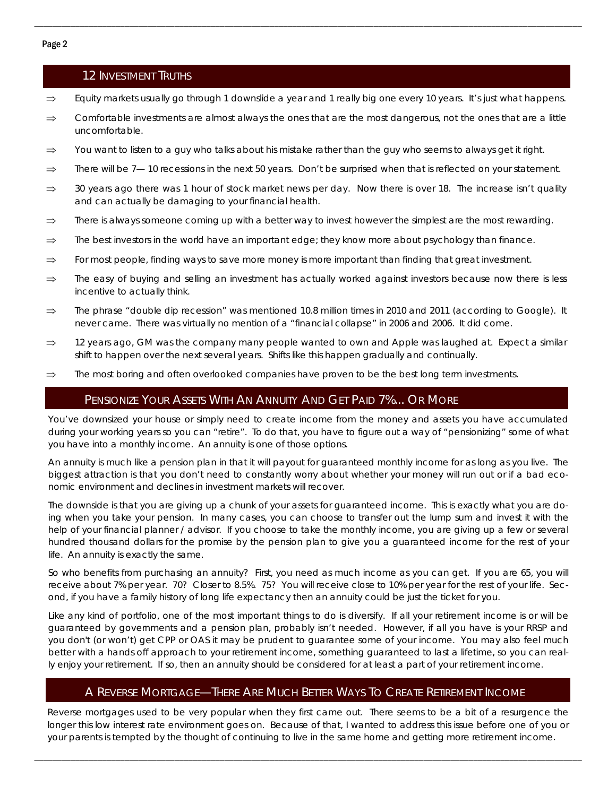# 12 INVESTMENT TRUTHS

 $\Rightarrow$  Equity markets usually go through 1 downslide a year and 1 really big one every 10 years. It's just what happens.

\_\_\_\_\_\_\_\_\_\_\_\_\_\_\_\_\_\_\_\_\_\_\_\_\_\_\_\_\_\_\_\_\_\_\_\_\_\_\_\_\_\_\_\_\_\_\_\_\_\_\_\_\_\_\_\_\_\_\_\_\_\_\_\_\_\_\_\_\_\_\_\_\_\_\_\_\_\_\_\_\_\_\_\_\_\_\_\_\_\_\_\_\_\_\_\_\_\_\_\_\_\_\_\_\_\_\_\_\_\_\_\_\_\_\_\_\_\_\_\_\_

- $\Rightarrow$  Comfortable investments are almost always the ones that are the most dangerous, not the ones that are a little uncomfortable.
- $\Rightarrow$  You want to listen to a guy who talks about his mistake rather than the guy who seems to always get it right.
- $\Rightarrow$  There will be 7— 10 recessions in the next 50 years. Don't be surprised when that is reflected on your statement.
- $\Rightarrow$  30 years ago there was 1 hour of stock market news per day. Now there is over 18. The increase isn't quality and can actually be damaging to your financial health.
- $\Rightarrow$  There is always someone coming up with a better way to invest however the simplest are the most rewarding.
- $\Rightarrow$  The best investors in the world have an important edge; they know more about psychology than finance.
- $\Rightarrow$  For most people, finding ways to save more money is more important than finding that great investment.
- $\Rightarrow$  The easy of buying and selling an investment has actually worked against investors because now there is less incentive to actually think.
- $\Rightarrow$  The phrase "double dip recession" was mentioned 10.8 million times in 2010 and 2011 (according to Google). It never came. There was virtually no mention of a "financial collapse" in 2006 and 2006. It did come.
- $\Rightarrow$  12 years ago, GM was the company many people wanted to own and Apple was laughed at. Expect a similar shift to happen over the next several years. Shifts like this happen gradually and continually.
- $\Rightarrow$  The most boring and often overlooked companies have proven to be the best long term investments.

# PENSIONIZE YOUR ASSETS WITH AN ANNUITY AND GET PAID 7%... OR MORE

You've downsized your house or simply need to create income from the money and assets you have accumulated during your working years so you can "retire". To do that, you have to figure out a way of "pensionizing" some of what you have into a monthly income. An annuity is one of those options.

An annuity is much like a pension plan in that it will payout for guaranteed monthly income for as long as you live. The biggest attraction is that you don't need to constantly worry about whether your money will run out or if a bad economic environment and declines in investment markets will recover.

The downside is that you are giving up a chunk of your assets for guaranteed income. This is exactly what you are doing when you take your pension. In many cases, you can choose to transfer out the lump sum and invest it with the help of your financial planner / advisor. If you choose to take the monthly income, you are giving up a few or several hundred thousand dollars for the promise by the pension plan to give you a guaranteed income for the rest of your life. An annuity is exactly the same.

So who benefits from purchasing an annuity? First, you need as much income as you can get. If you are 65, you will receive about 7% per year. 70? Closer to 8.5%. 75? You will receive close to 10% per year for the rest of your life. Second, if you have a family history of long life expectancy then an annuity could be just the ticket for you.

Like any kind of portfolio, one of the most important things to do is diversify. If all your retirement income is or will be guaranteed by governments and a pension plan, probably isn't needed. However, if all you have is your RRSP and you don't (or won't) get CPP or OAS it may be prudent to guarantee some of your income. You may also feel much better with a hands off approach to your retirement income, something guaranteed to last a lifetime, so you can really enjoy your retirement. If so, then an annuity should be considered for at least a part of your retirement income.

# A REVERSE MORTGAGE—THERE ARE MUCH BETTER WAYS TO CREATE RETIREMENT INCOME

Reverse mortgages used to be very popular when they first came out. There seems to be a bit of a resurgence the longer this low interest rate environment goes on. Because of that, I wanted to address this issue before one of you or your parents is tempted by the thought of continuing to live in the same home and getting more retirement income.

\_\_\_\_\_\_\_\_\_\_\_\_\_\_\_\_\_\_\_\_\_\_\_\_\_\_\_\_\_\_\_\_\_\_\_\_\_\_\_\_\_\_\_\_\_\_\_\_\_\_\_\_\_\_\_\_\_\_\_\_\_\_\_\_\_\_\_\_\_\_\_\_\_\_\_\_\_\_\_\_\_\_\_\_\_\_\_\_\_\_\_\_\_\_\_\_\_\_\_\_\_\_\_\_\_\_\_\_\_\_\_\_\_\_\_\_\_\_\_\_\_

### Page 2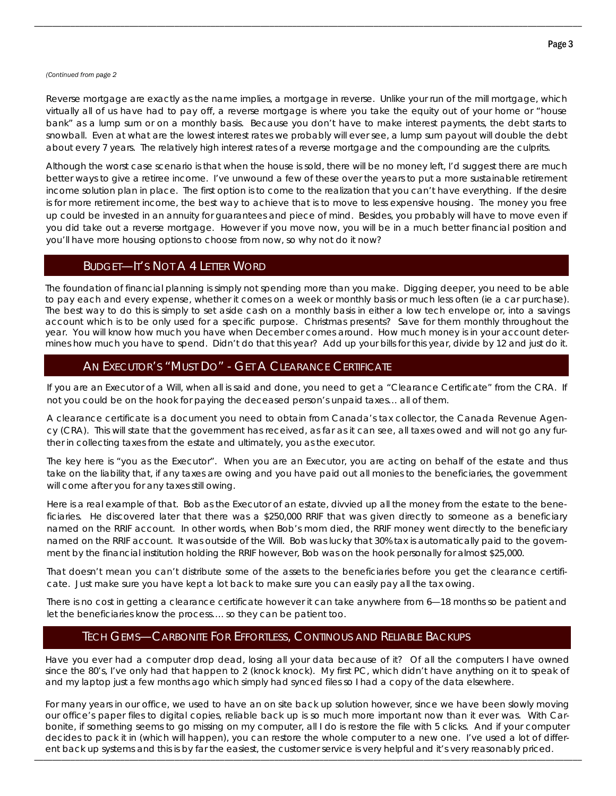#### *(Continued from page 2*

Reverse mortgage are exactly as the name implies, a mortgage in reverse. Unlike your run of the mill mortgage, which virtually all of us have had to pay off, a reverse mortgage is where you take the equity out of your home or "house bank" as a lump sum or on a monthly basis. Because you don't have to make interest payments, the debt starts to snowball. Even at what are the lowest interest rates we probably will ever see, a lump sum payout will double the debt about every 7 years. The relatively high interest rates of a reverse mortgage and the compounding are the culprits.

\_\_\_\_\_\_\_\_\_\_\_\_\_\_\_\_\_\_\_\_\_\_\_\_\_\_\_\_\_\_\_\_\_\_\_\_\_\_\_\_\_\_\_\_\_\_\_\_\_\_\_\_\_\_\_\_\_\_\_\_\_\_\_\_\_\_\_\_\_\_\_\_\_\_\_\_\_\_\_\_\_\_\_\_\_\_\_\_\_\_\_\_\_\_\_\_\_\_\_\_\_\_\_\_\_\_\_\_\_\_\_\_\_\_\_\_\_\_\_\_\_

Although the worst case scenario is that when the house is sold, there will be no money left, I'd suggest there are much better ways to give a retiree income. I've unwound a few of these over the years to put a more sustainable retirement income solution plan in place. The first option is to come to the realization that you can't have everything. If the desire is for more retirement income, the best way to achieve that is to move to less expensive housing. The money you free up could be invested in an annuity for guarantees and piece of mind. Besides, you probably will have to move even if you did take out a reverse mortgage. However if you move now, you will be in a much better financial position and you'll have more housing options to choose from now, so why not do it now?

# BUDGET—IT'S NOT A 4 LETTER WORD

The foundation of financial planning is simply not spending more than you make. Digging deeper, you need to be able to pay each and every expense, whether it comes on a week or monthly basis or much less often (ie a car purchase). The best way to do this is simply to set aside cash on a monthly basis in either a low tech envelope or, into a savings account which is to be only used for a specific purpose. Christmas presents? Save for them monthly throughout the year. You will know how much you have when December comes around. How much money is in your account determines how much you have to spend. Didn't do that this year? Add up your bills for this year, divide by 12 and just do it.

# AN EXECUTOR'S "MUST DO" - GET A CLEARANCE CERTIFICATE

If you are an Executor of a Will, when all is said and done, you need to get a "Clearance Certificate" from the CRA. If not you could be on the hook for paying the deceased person's unpaid taxes… all of them.

A clearance certificate is a document you need to obtain from Canada's tax collector, the Canada Revenue Agency (CRA). This will state that the government has received, as far as it can see, all taxes owed and will not go any further in collecting taxes from the estate and ultimately, you as the executor.

The key here is "you as the Executor". When you are an Executor, you are acting on behalf of the estate and thus take on the liability that, if any taxes are owing and you have paid out all monies to the beneficiaries, the government will come after you for any taxes still owing.

Here is a real example of that. Bob as the Executor of an estate, divvied up all the money from the estate to the beneficiaries. He discovered later that there was a \$250,000 RRIF that was given directly to someone as a beneficiary named on the RRIF account. In other words, when Bob's mom died, the RRIF money went directly to the beneficiary named on the RRIF account. It was outside of the Will. Bob was lucky that 30% tax is automatically paid to the government by the financial institution holding the RRIF however, Bob was on the hook personally for almost \$25,000.

That doesn't mean you can't distribute some of the assets to the beneficiaries before you get the clearance certificate. Just make sure you have kept a lot back to make sure you can easily pay all the tax owing.

There is no cost in getting a clearance certificate however it can take anywhere from 6—18 months so be patient and let the beneficiaries know the process…. so they can be patient too.

# TECH GEMS—CARBONITE FOR EFFORTLESS, CONTINOUS AND RELIABLE BACKUPS

Have you ever had a computer drop dead, losing all your data because of it? Of all the computers I have owned since the 80's, I've only had that happen to 2 (knock knock). My first PC, which didn't have anything on it to speak of and my laptop just a few months ago which simply had synced files so I had a copy of the data elsewhere.

ent back up systems and this is by far the easiest, the customer service is very helpful and it's very reasonably priced. For many years in our office, we used to have an on site back up solution however, since we have been slowly moving our office's paper files to digital copies, reliable back up is so much more important now than it ever was. With Carbonite, if something seems to go missing on my computer, all I do is restore the file with 5 clicks. And if your computer decides to pack it in (which will happen), you can restore the whole computer to a new one. I've used a lot of differ-